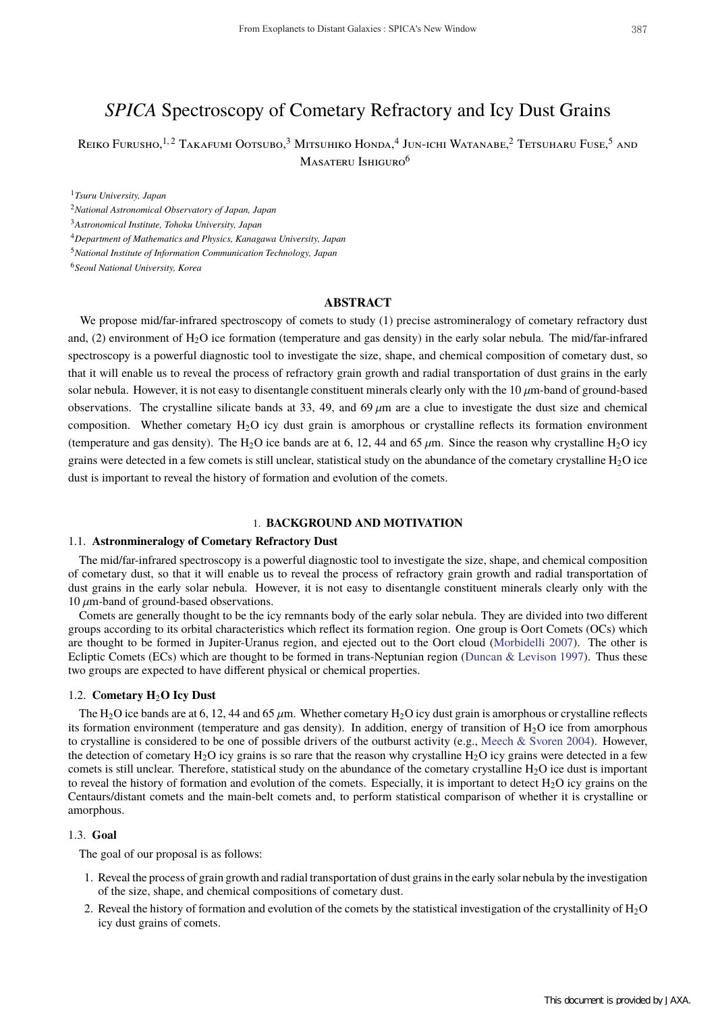# *SPICA* Spectroscopy of Cometary Refractory and Icy Dust Grains

Reiko Furusho, <sup>1, 2</sup> Takafumi Ootsubo, <sup>3</sup> Mitsuhiko Honda, <sup>4</sup> Jun-ichi Watanabe, <sup>2</sup> Tetsuharu Fuse, <sup>5</sup> and Masateru Ishiguro<sup>6</sup>

<sup>1</sup>*Tsuru University, Japan*

<sup>2</sup>*National Astronomical Observatory of Japan, Japan*

<sup>3</sup>*Astronomical Institute, Tohoku University, Japan*

<sup>4</sup>*Department of Mathematics and Physics, Kanagawa University, Japan*

<sup>5</sup>*National Institute of Information Communication Technology, Japan*

<sup>6</sup>*Seoul National University, Korea*

# **ABSTRACT**

We propose mid/far-infrared spectroscopy of comets to study (1) precise astromineralogy of cometary refractory dust and, (2) environment of  $H_2O$  ice formation (temperature and gas density) in the early solar nebula. The mid/far-infrared spectroscopy is a powerful diagnostic tool to investigate the size, shape, and chemical composition of cometary dust, so that it will enable us to reveal the process of refractory grain growth and radial transportation of dust grains in the early solar nebula. However, it is not easy to disentangle constituent minerals clearly only with the  $10 \mu m$ -band of ground-based observations. The crystalline silicate bands at 33, 49, and 69  $\mu$ m are a clue to investigate the dust size and chemical composition. Whether cometary  $H_2O$  icy dust grain is amorphous or crystalline reflects its formation environment (temperature and gas density). The H<sub>2</sub>O ice bands are at 6, 12, 44 and 65  $\mu$ m. Since the reason why crystalline H<sub>2</sub>O icy grains were detected in a few comets is still unclear, statistical study on the abundance of the cometary crystalline  $H_2O$  ice dust is important to reveal the history of formation and evolution of the comets.

# 1. **BACKGROUND AND MOTIVATION**

#### 1.1. **Astronmineralogy of Cometary Refractory Dust**

The mid/far-infrared spectroscopy is a powerful diagnostic tool to investigate the size, shape, and chemical composition of cometary dust, so that it will enable us to reveal the process of refractory grain growth and radial transportation of dust grains in the early solar nebula. However, it is not easy to disentangle constituent minerals clearly only with the  $10 \mu$ m-band of ground-based observations.

Comets are generally thought to be the icy remnants body of the early solar nebula. They are divided into two different groups according to its orbital characteristics which reflect its formation region. One group is Oort Comets (OCs) which are thought to be formed in Jupiter-Uranus region, and ejected out to the Oort cloud (Morbidelli 2007). The other is Ecliptic Comets (ECs) which are thought to be formed in trans-Neptunian region (Duncan & Levison 1997). Thus these two groups are expected to have different physical or chemical properties.

#### 1.2. **Cometary H**2**O Icy Dust**

The H<sub>2</sub>O ice bands are at 6, 12, 44 and 65  $\mu$ m. Whether cometary H<sub>2</sub>O icy dust grain is amorphous or crystalline reflects its formation environment (temperature and gas density). In addition, energy of transition of  $H_2O$  ice from amorphous to crystalline is considered to be one of possible drivers of the outburst activity (e.g., Meech & Svoren 2004). However, the detection of cometary  $H_2O$  icy grains is so rare that the reason why crystalline  $H_2O$  icy grains were detected in a few comets is still unclear. Therefore, statistical study on the abundance of the cometary crystalline  $H_2O$  ice dust is important to reveal the history of formation and evolution of the comets. Especially, it is important to detect  $H_2O$  icy grains on the Centaurs/distant comets and the main-belt comets and, to perform statistical comparison of whether it is crystalline or amorphous.

# 1.3. **Goal**

The goal of our proposal is as follows:

- 1. Reveal the process of grain growth and radial transportation of dust grains in the early solar nebula by the investigation of the size, shape, and chemical compositions of cometary dust.
- 2. Reveal the history of formation and evolution of the comets by the statistical investigation of the crystallinity of  $H_2O$ icy dust grains of comets.